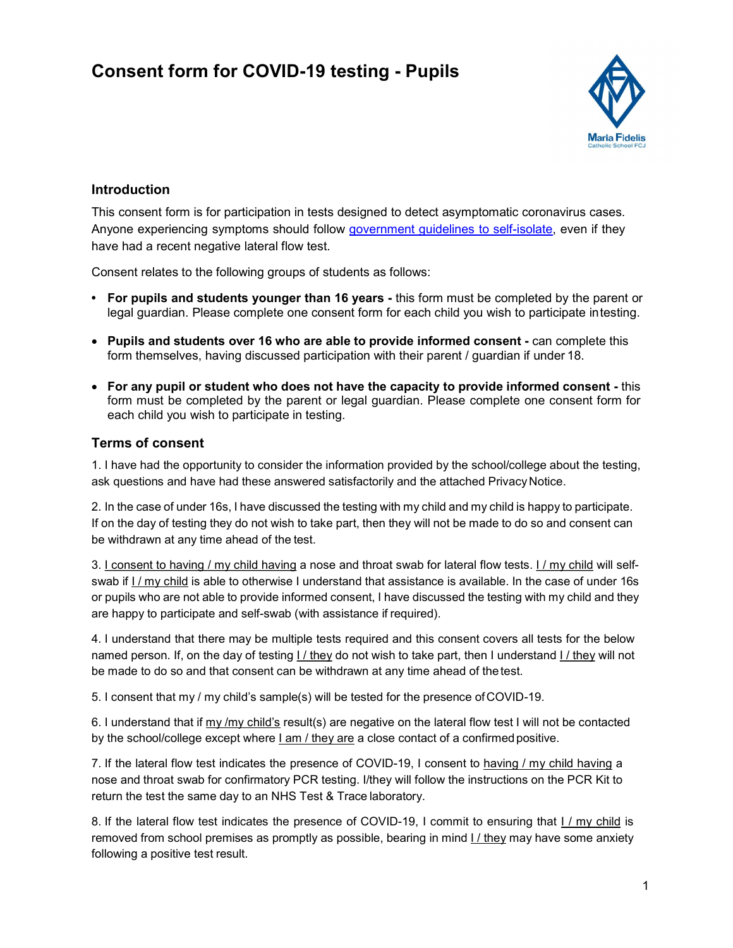## Consent form for COVID-19 testing - Pupils



## Introduction

This consent form is for participation in tests designed to detect asymptomatic coronavirus cases. Anyone experiencing symptoms should follow government guidelines to self-isolate, even if they have had a recent negative lateral flow test.

Consent relates to the following groups of students as follows:

- For pupils and students younger than 16 years this form must be completed by the parent or legal guardian. Please complete one consent form for each child you wish to participate in testing.
- Pupils and students over 16 who are able to provide informed consent can complete this form themselves, having discussed participation with their parent / guardian if under 18.
- For any pupil or student who does not have the capacity to provide informed consent this form must be completed by the parent or legal guardian. Please complete one consent form for each child you wish to participate in testing.

## Terms of consent

1. I have had the opportunity to consider the information provided by the school/college about the testing, ask questions and have had these answered satisfactorily and the attached Privacy Notice.

2. In the case of under 16s, I have discussed the testing with my child and my child is happy to participate. If on the day of testing they do not wish to take part, then they will not be made to do so and consent can be withdrawn at any time ahead of the test.

3. I consent to having / my child having a nose and throat swab for lateral flow tests. I / my child will selfswab if I / my child is able to otherwise I understand that assistance is available. In the case of under 16s or pupils who are not able to provide informed consent, I have discussed the testing with my child and they are happy to participate and self-swab (with assistance if required).

4. I understand that there may be multiple tests required and this consent covers all tests for the below named person. If, on the day of testing I / they do not wish to take part, then I understand I / they will not be made to do so and that consent can be withdrawn at any time ahead of the test.

5. I consent that my / my child's sample(s) will be tested for the presence of COVID-19.

6. I understand that if  $\frac{my}{my}$  child's result(s) are negative on the lateral flow test I will not be contacted by the school/college except where I am / they are a close contact of a confirmed positive.

7. If the lateral flow test indicates the presence of COVID-19, I consent to having / my child having a nose and throat swab for confirmatory PCR testing. I/they will follow the instructions on the PCR Kit to return the test the same day to an NHS Test & Trace laboratory.

8. If the lateral flow test indicates the presence of COVID-19, I commit to ensuring that I / my child is removed from school premises as promptly as possible, bearing in mind I / they may have some anxiety following a positive test result.